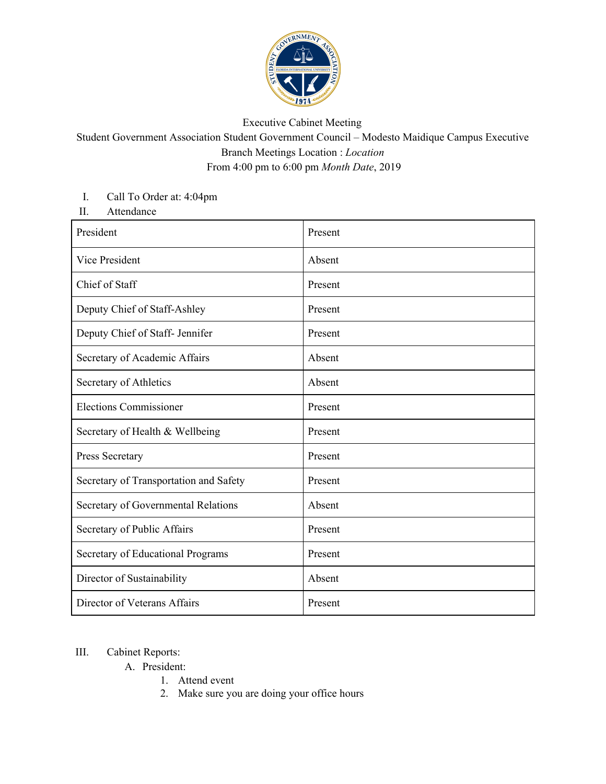

## Executive Cabinet Meeting

Student Government Association Student Government Council – Modesto Maidique Campus Executive Branch Meetings Location : *Location* From 4:00 pm to 6:00 pm *Month Date*, 2019

## I. Call To Order at: 4:04pm

II. Attendance

| President                              | Present |
|----------------------------------------|---------|
| Vice President                         | Absent  |
| Chief of Staff                         | Present |
| Deputy Chief of Staff-Ashley           | Present |
| Deputy Chief of Staff- Jennifer        | Present |
| Secretary of Academic Affairs          | Absent  |
| Secretary of Athletics                 | Absent  |
| <b>Elections Commissioner</b>          | Present |
| Secretary of Health & Wellbeing        | Present |
| Press Secretary                        | Present |
| Secretary of Transportation and Safety | Present |
| Secretary of Governmental Relations    | Absent  |
| Secretary of Public Affairs            | Present |
| Secretary of Educational Programs      | Present |
| Director of Sustainability             | Absent  |
| Director of Veterans Affairs           | Present |

## III. Cabinet Reports:

- A. President:
	- 1. Attend event
	- 2. Make sure you are doing your office hours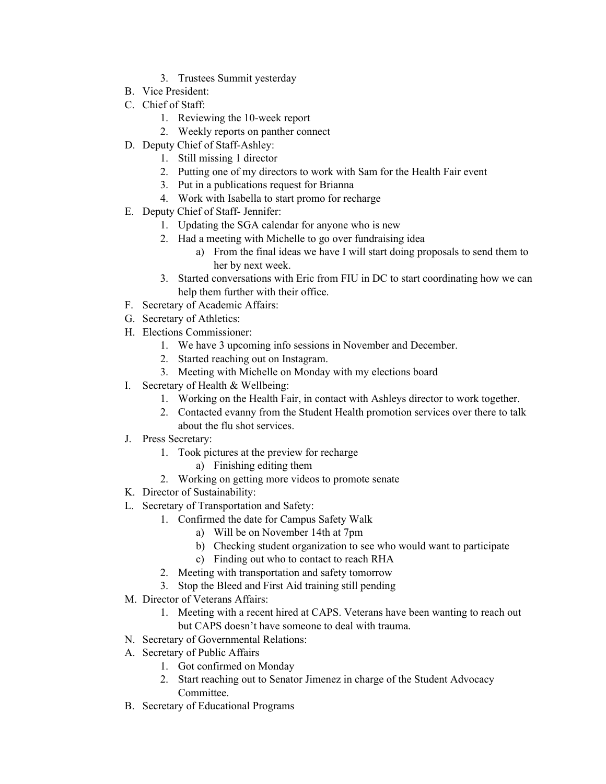- 3. Trustees Summit yesterday
- B. Vice President:
- C. Chief of Staff:
	- 1. Reviewing the 10-week report
	- 2. Weekly reports on panther connect
- D. Deputy Chief of Staff-Ashley:
	- 1. Still missing 1 director
	- 2. Putting one of my directors to work with Sam for the Health Fair event
	- 3. Put in a publications request for Brianna
	- 4. Work with Isabella to start promo for recharge
- E. Deputy Chief of Staff- Jennifer:
	- 1. Updating the SGA calendar for anyone who is new
	- 2. Had a meeting with Michelle to go over fundraising idea
		- a) From the final ideas we have I will start doing proposals to send them to her by next week.
	- 3. Started conversations with Eric from FIU in DC to start coordinating how we can help them further with their office.
- F. Secretary of Academic Affairs:
- G. Secretary of Athletics:
- H. Elections Commissioner:
	- 1. We have 3 upcoming info sessions in November and December.
	- 2. Started reaching out on Instagram.
	- 3. Meeting with Michelle on Monday with my elections board
- I. Secretary of Health & Wellbeing:
	- 1. Working on the Health Fair, in contact with Ashleys director to work together.
	- 2. Contacted evanny from the Student Health promotion services over there to talk about the flu shot services.
- J. Press Secretary:
	- 1. Took pictures at the preview for recharge
		- a) Finishing editing them
	- 2. Working on getting more videos to promote senate
- K. Director of Sustainability:
- L. Secretary of Transportation and Safety:
	- 1. Confirmed the date for Campus Safety Walk
		- a) Will be on November 14th at 7pm
		- b) Checking student organization to see who would want to participate
		- c) Finding out who to contact to reach RHA
	- 2. Meeting with transportation and safety tomorrow
	- 3. Stop the Bleed and First Aid training still pending
- M. Director of Veterans Affairs:
	- 1. Meeting with a recent hired at CAPS. Veterans have been wanting to reach out but CAPS doesn't have someone to deal with trauma.
- N. Secretary of Governmental Relations:
- A. Secretary of Public Affairs
	- 1. Got confirmed on Monday
	- 2. Start reaching out to Senator Jimenez in charge of the Student Advocacy Committee.
- B. Secretary of Educational Programs